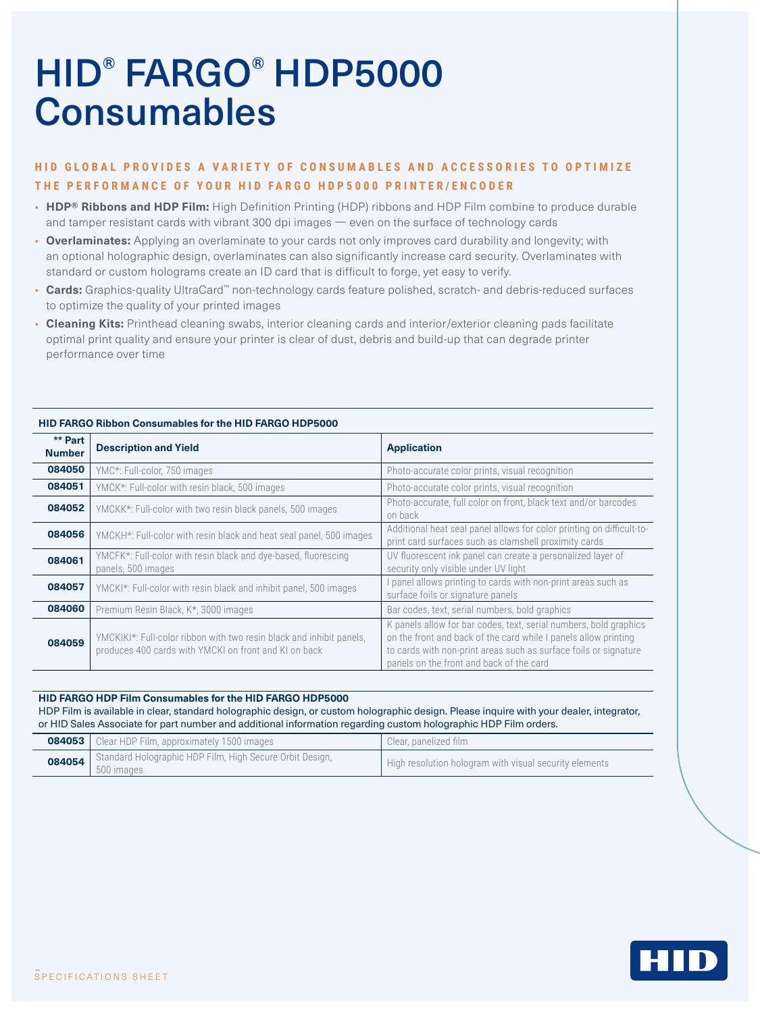# HID® FARGO® HDP5000 **Consumables**

## **HID GLOBAL PROVIDES A VARIETY OF CONSUMABLES AND ACCESSORIES TO OPTIMIZE THE PERFORMANCE OF YOUR HID FARGO HDP5000 PRINTER/ENCODER**

- **HDP® Ribbons and HDP Film:** High Definition Printing (HDP) ribbons and HDP Film combine to produce durable and tamper resistant cards with vibrant 300 dpi images — even on the surface of technology cards
- **Overlaminates:** Applying an overlaminate to your cards not only improves card durability and longevity; with an optional holographic design, overlaminates can also significantly increase card security. Overlaminates with standard or custom holograms create an ID card that is difficult to forge, yet easy to verify.
- **Cards:** Graphics-quality UltraCard™ non-technology cards feature polished, scratch- and debris-reduced surfaces to optimize the quality of your printed images
- **Cleaning Kits:** Printhead cleaning swabs, interior cleaning cards and interior/exterior cleaning pads facilitate optimal print quality and ensure your printer is clear of dust, debris and build-up that can degrade printer performance over time

| ** Part<br><b>Number</b> | <b>Description and Yield</b>                                                                                                  | <b>Application</b>                                                                                                                                                                                                                                   |
|--------------------------|-------------------------------------------------------------------------------------------------------------------------------|------------------------------------------------------------------------------------------------------------------------------------------------------------------------------------------------------------------------------------------------------|
| 084050                   | YMC*: Full-color, 750 images                                                                                                  | Photo-accurate color prints, visual recognition                                                                                                                                                                                                      |
| 084051                   | YMCK*: Full-color with resin black, 500 images                                                                                | Photo-accurate color prints, visual recognition                                                                                                                                                                                                      |
| 084052                   | YMCKK*: Full-color with two resin black panels, 500 images                                                                    | Photo-accurate, full color on front, black text and/or barcodes<br>on back                                                                                                                                                                           |
| 084056                   | YMCKH*: Full-color with resin black and heat seal panel, 500 images                                                           | Additional heat seal panel allows for color printing on difficult-to-<br>print card surfaces such as clamshell proximity cards                                                                                                                       |
| 084061                   | YMCFK*: Full-color with resin black and dye-based, fluorescing<br>panels, 500 images                                          | UV fluorescent ink panel can create a personalized layer of<br>security only visible under UV light                                                                                                                                                  |
| 084057                   | YMCKI*: Full-color with resin black and inhibit panel, 500 images                                                             | panel allows printing to cards with non-print areas such as<br>surface foils or signature panels                                                                                                                                                     |
| 084060                   | Premium Resin Black, K*, 3000 images                                                                                          | Bar codes, text, serial numbers, bold graphics                                                                                                                                                                                                       |
| 084059                   | YMCKIKI*: Full-color ribbon with two resin black and inhibit panels,<br>produces 400 cards with YMCKI on front and KI on back | K panels allow for bar codes, text, serial numbers, bold graphics<br>on the front and back of the card while I panels allow printing<br>to cards with non-print areas such as surface foils or signature<br>panels on the front and back of the card |

### **HID FARGO Ribbon Consumables for the HID FARGO HDP5000**

#### **HID FARGO HDP Film Consumables for the HID FARGO HDP5000**

HDP Film is available in clear, standard holographic design, or custom holographic design. Please inquire with your dealer, integrator, or HID Sales Associate for part number and additional information regarding custom holographic HDP Film orders.

| <b>084053</b> Clear HDP Film, approximately 1500 images                         | Clear, panelized film                                  |
|---------------------------------------------------------------------------------|--------------------------------------------------------|
| 084054   Standard Holographic HDP Film, High Secure Orbit Design,<br>500 images | High resolution hologram with visual security elements |